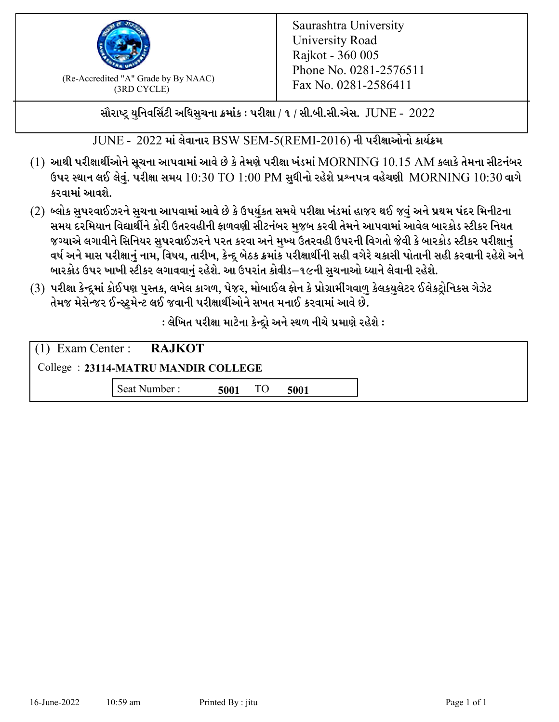

 $F_{\text{R}}$  (Re-Accredited "A" Grade by By NAAC)<br>(3PD CVCLE)<br> $F_{\text{R}}$  No. 0281-2586411 (3RD CYCLE)

સૌરાષ્ટ્ર યુનિવર્સિટી અધિસુચના ક્રમાંક : પરીક્ષા / ૧ / સી.બી.સી.એસ.  $\,$  JUNE -  $\,2022$ 

 $JUNE - 2022$  માં લેવાનાર BSW SEM-5(REMI-2016) ની પરીક્ષાઓનો કાર્યક્રમ

- $(1)$  આથી પરીક્ષાર્થીઓને સૂચના આપવામાં આવે છે કે તેમણે પરીક્ષા ખંડમાં  $\operatorname{MORNING}$   $10.15$   $\operatorname{AM}$  કલાકે તેમના સીટનંબર ઉપર સ્થાન લઈ લેવું. પરીક્ષા સમય  $10:30 \text{ TO } 1:00 \text{ PM}$  સુધીનો રહેશે પ્રશ્નપત્ર વહેચણી  $\text{MORNING } 10:30$  વાગે કરવામાં આવશે.
- (2) બ્લોક સુપરવાઈઝરને સુચના આપવામાં આવે છે કે ઉપર્યુકત સમયે પરીક્ષા ખંડમાં હાજર થઈ જવું અને પ્રથમ પંદર મિનીટના સમય દરમિયાન વિદ્યાર્થીને કોરી ઉતરવહીની ફાળવણી સીટનંબર મજબ કરવી તેમને આપવામાં આવેલ બારકોડ સ્ટીકર નિયત જગ્યાએ લગાવીને સિનિયર સુપરવાઈઝરને પરત કરવા અને મુખ્ય ઉતરવહી ઉપરની વિગતો જેવી કે બારકોડ સ્ટીકર પરીક્ષ<u>ાન</u>ં વર્ષ અને માસ પરીક્ષાનું નામ, વિષય, તારીખ, કેન્દ્ર બેઠક ક્રમાંક પરીક્ષાર્થીની સહી વગેરે ચકાસી પોતાની સહી કરવાની રહેશે અને બારકોડ ઉપર ખાખી સ્ટીકર લગાવવાનં રહેશે. આ ઉપરાંત કોવીડ–૧૯ની સચનાઓ ધ્યાને લેવાની રહેશે.
- (3) પરીક્ષા કેન્દ્રમાં કોઈપણ પુસ્તક, લખેલ કાગળ, પેજર, મોબાઈલ ફોન કે પ્રોગ્રામીંગવાળુ કેલકયુલેટર ઈલેકટ્રોનિકસ ગેઝેટ તેમજ મેસેન્જર ઈન્સ્ટમેન્ટ લઈ જવાની પરીક્ષાર્થીઓને સખત મનાઈ કરવામાં આવે છે.

: લેખિત પરીક્ષા માટેના કેન્દ્દો અને સ્થળ નીચે પ્રમાણે રહેશે :

|                                     | $(1)$ Exam Center : RAJKOT |      |    |      |  |  |
|-------------------------------------|----------------------------|------|----|------|--|--|
| College: 23114-MATRU MANDIR COLLEGE |                            |      |    |      |  |  |
|                                     | Seat Number:               | 5001 | TO | 5001 |  |  |